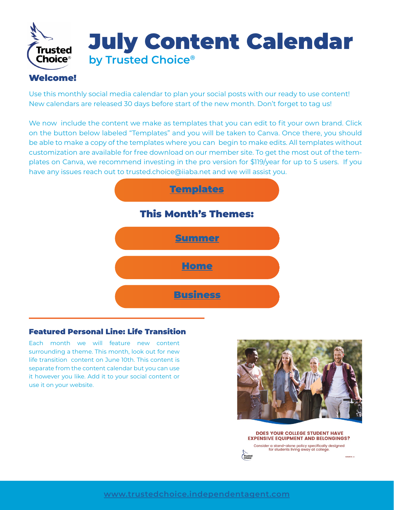

## Welcome!

Use this monthly social media calendar to plan your social posts with our ready to use content! New calendars are released 30 days before start of the new month. Don't forget to tag us!

We now include the content we make as templates that you can edit to fit your own brand. Click on the button below labeled "Templates" and you will be taken to Canva. Once there, you should be able to make a copy of the templates where you can begin to make edits. All templates without customization are available for free download on our member site. To get the most out of the templates on Canva, we recommend investing in the pro version for \$119/year for up to 5 users. If you have any issues reach out to trusted.choice@iiaba.net and we will assist you.



## Featured Personal Line: Life Transition

Each month we will feature new content surrounding a theme. This month, look out for new life transition content on June 10th. This content is separate from the content calendar but you can use it however you like. Add it to your social content or use it on your website.



DOES YOUR COLLEGE STUDENT HAVE **EXPENSIVE EQUIPMENT AND BELONGINGS?** Consider a stand-alone policy specifically designed for students living away at college